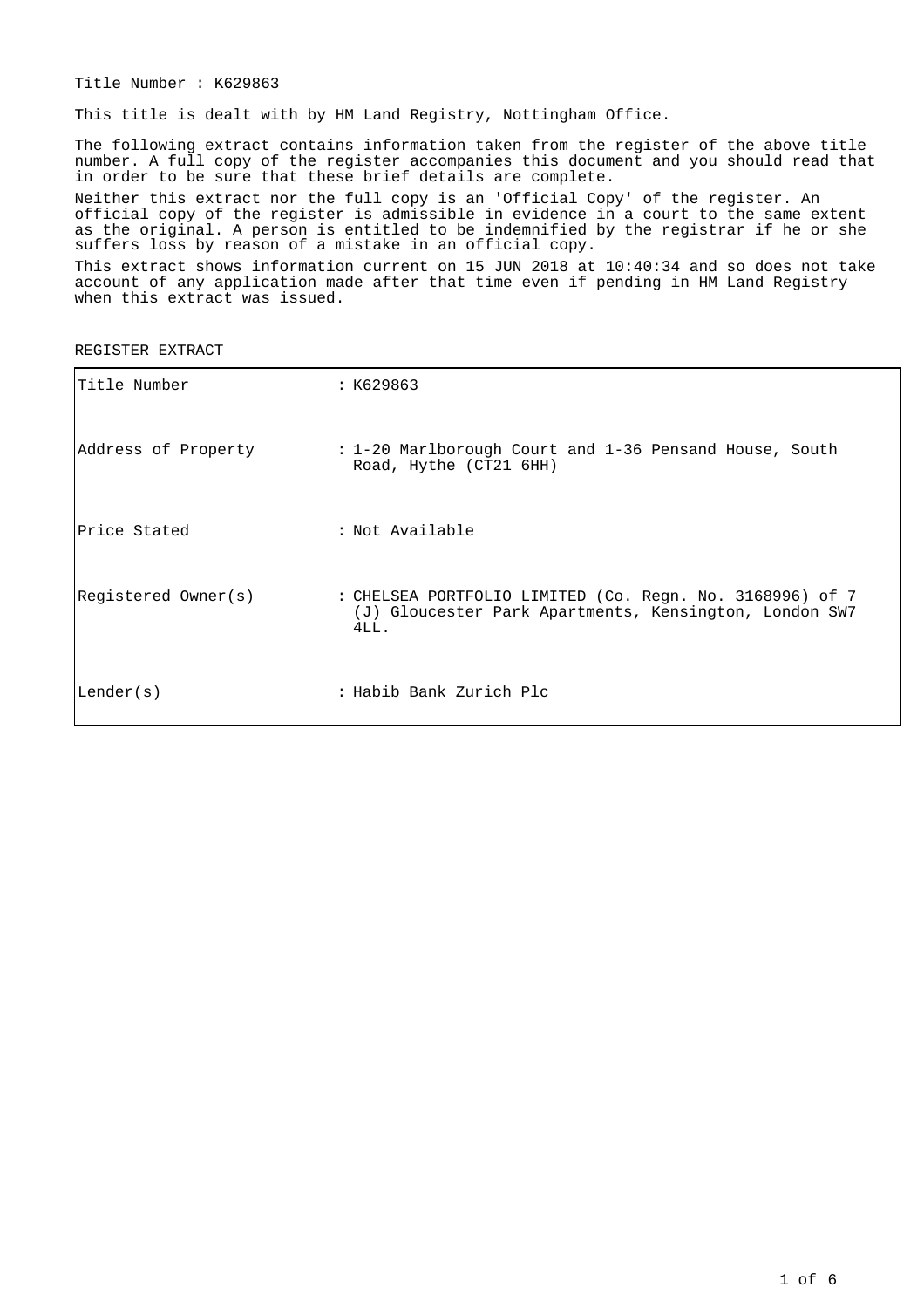Title Number : K629863

This title is dealt with by HM Land Registry, Nottingham Office.

The following extract contains information taken from the register of the above title number. A full copy of the register accompanies this document and you should read that in order to be sure that these brief details are complete.

Neither this extract nor the full copy is an 'Official Copy' of the register. An official copy of the register is admissible in evidence in a court to the same extent as the original. A person is entitled to be indemnified by the registrar if he or she suffers loss by reason of a mistake in an official copy.

This extract shows information current on 15 JUN 2018 at 10:40:34 and so does not take account of any application made after that time even if pending in HM Land Registry when this extract was issued.

REGISTER EXTRACT

| Title Number        | : K629863                                                                                                                  |
|---------------------|----------------------------------------------------------------------------------------------------------------------------|
| Address of Property | : 1-20 Marlborough Court and 1-36 Pensand House, South<br>Road, Hythe (CT21 6HH)                                           |
| Price Stated        | : Not Available                                                                                                            |
| Registered Owner(s) | : CHELSEA PORTFOLIO LIMITED (Co. Regn. No. 3168996) of 7<br>(J) Gloucester Park Apartments, Kensington, London SW7<br>4LL. |
| Lender(s)           | : Habib Bank Zurich Plc                                                                                                    |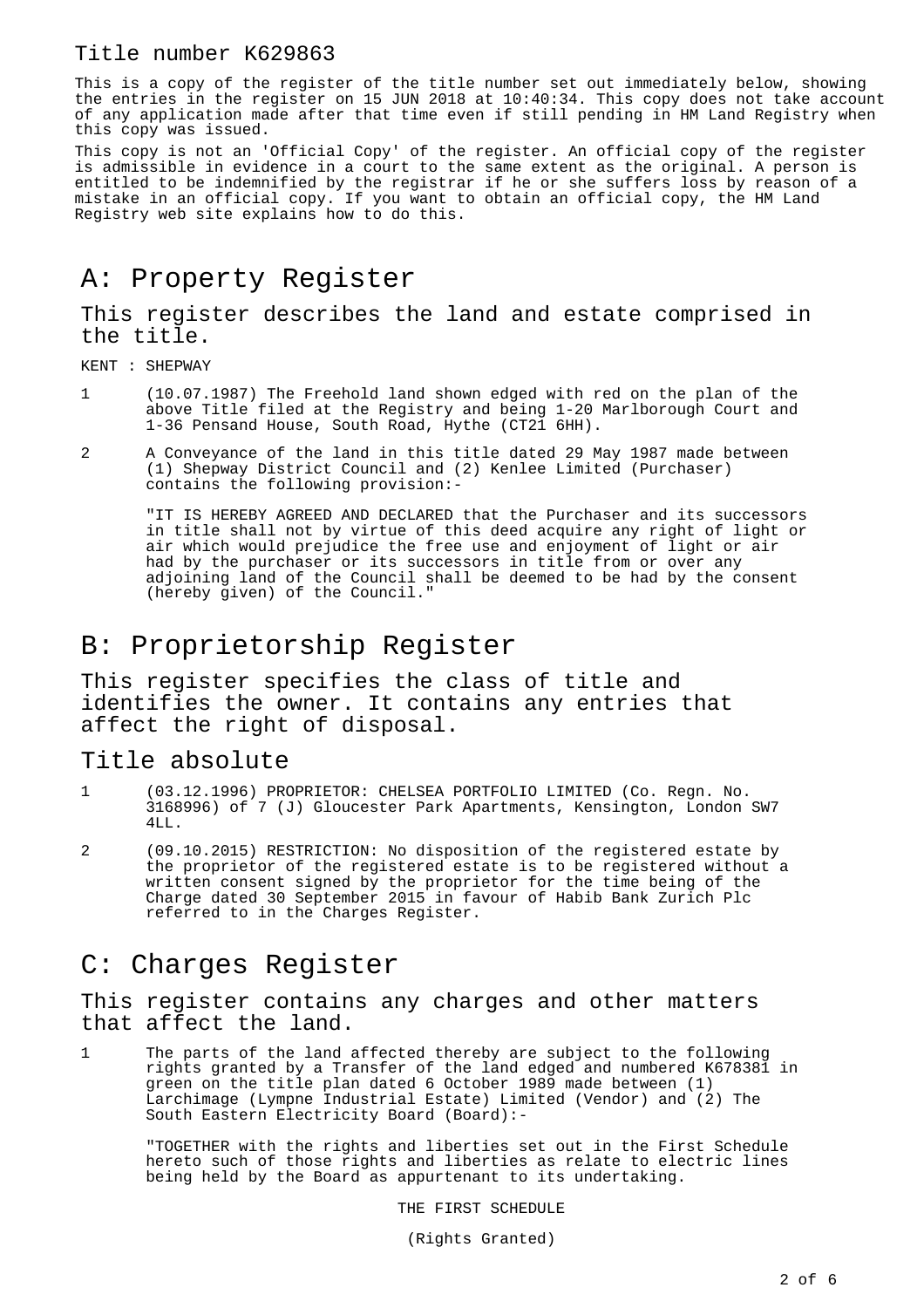This is a copy of the register of the title number set out immediately below, showing the entries in the register on 15 JUN 2018 at 10:40:34. This copy does not take account of any application made after that time even if still pending in HM Land Registry when this copy was issued.

This copy is not an 'Official Copy' of the register. An official copy of the register is admissible in evidence in a court to the same extent as the original. A person is entitled to be indemnified by the registrar if he or she suffers loss by reason of a mistake in an official copy. If you want to obtain an official copy, the HM Land Registry web site explains how to do this.

# A: Property Register

This register describes the land and estate comprised in the title.

KENT : SHEPWAY

- 1 (10.07.1987) The Freehold land shown edged with red on the plan of the above Title filed at the Registry and being 1-20 Marlborough Court and 1-36 Pensand House, South Road, Hythe (CT21 6HH).
- 2 A Conveyance of the land in this title dated 29 May 1987 made between (1) Shepway District Council and (2) Kenlee Limited (Purchaser) contains the following provision:-

"IT IS HEREBY AGREED AND DECLARED that the Purchaser and its successors in title shall not by virtue of this deed acquire any right of light or air which would prejudice the free use and enjoyment of light or air had by the purchaser or its successors in title from or over any adjoining land of the Council shall be deemed to be had by the consent (hereby given) of the Council."

# B: Proprietorship Register

This register specifies the class of title and identifies the owner. It contains any entries that affect the right of disposal.

#### Title absolute

- 1 (03.12.1996) PROPRIETOR: CHELSEA PORTFOLIO LIMITED (Co. Regn. No. 3168996) of 7 (J) Gloucester Park Apartments, Kensington, London SW7 4LL.
- 2 (09.10.2015) RESTRICTION: No disposition of the registered estate by the proprietor of the registered estate is to be registered without a written consent signed by the proprietor for the time being of the Charge dated 30 September 2015 in favour of Habib Bank Zurich Plc referred to in the Charges Register.

#### C: Charges Register

This register contains any charges and other matters that affect the land.

1 The parts of the land affected thereby are subject to the following rights granted by a Transfer of the land edged and numbered K678381 in green on the title plan dated 6 October 1989 made between (1) Larchimage (Lympne Industrial Estate) Limited (Vendor) and (2) The South Eastern Electricity Board (Board):-

"TOGETHER with the rights and liberties set out in the First Schedule hereto such of those rights and liberties as relate to electric lines being held by the Board as appurtenant to its undertaking.

THE FIRST SCHEDULE

(Rights Granted)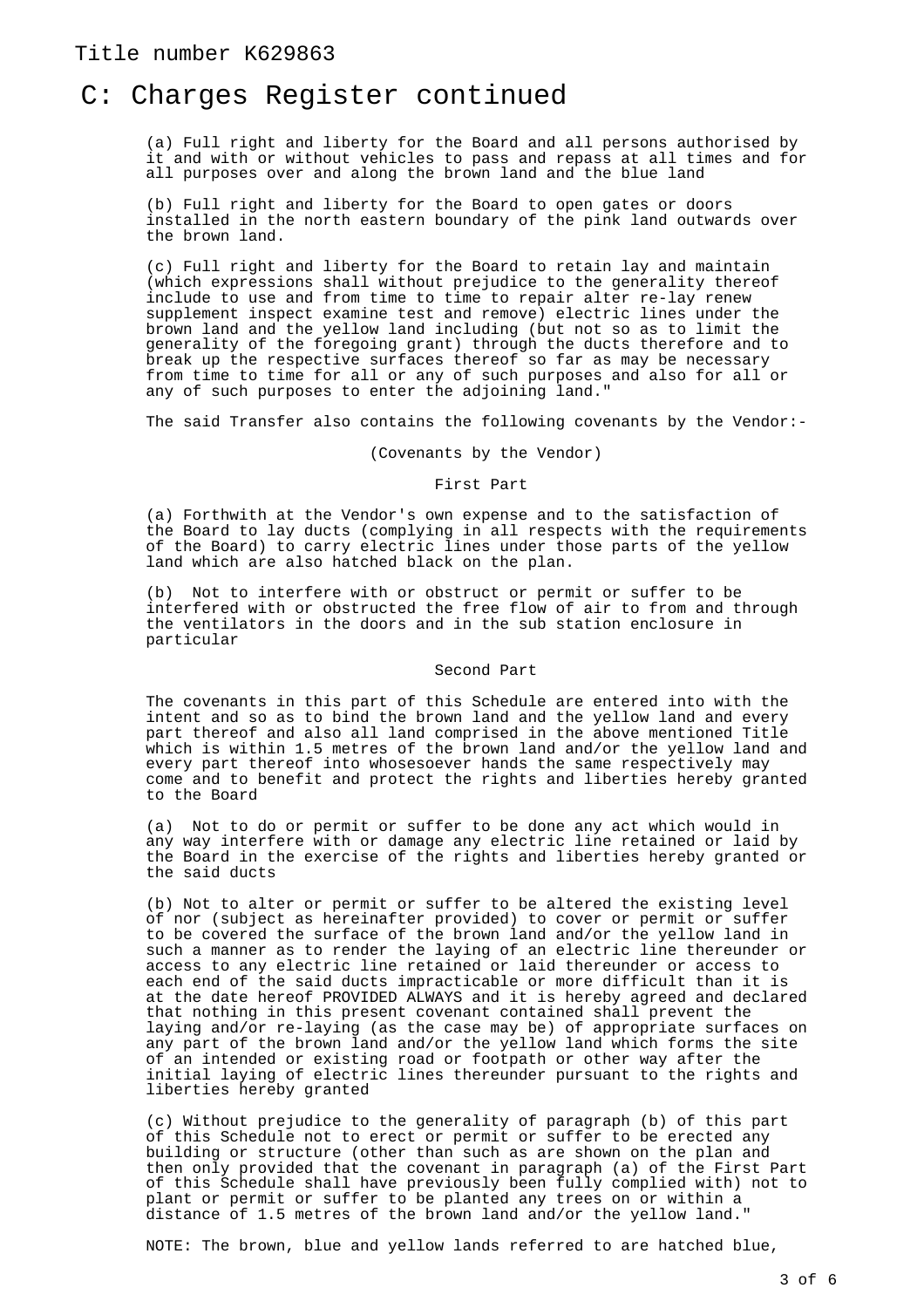#### C: Charges Register continued

(a) Full right and liberty for the Board and all persons authorised by it and with or without vehicles to pass and repass at all times and for all purposes over and along the brown land and the blue land

(b) Full right and liberty for the Board to open gates or doors installed in the north eastern boundary of the pink land outwards over the brown land.

(c) Full right and liberty for the Board to retain lay and maintain (which expressions shall without prejudice to the generality thereof include to use and from time to time to repair alter re-lay renew supplement inspect examine test and remove) electric lines under the brown land and the yellow land including (but not so as to limit the generality of the foregoing grant) through the ducts therefore and to break up the respective surfaces thereof so far as may be necessary from time to time for all or any of such purposes and also for all or any of such purposes to enter the adjoining land."

The said Transfer also contains the following covenants by the Vendor:-

(Covenants by the Vendor)

First Part

(a) Forthwith at the Vendor's own expense and to the satisfaction of the Board to lay ducts (complying in all respects with the requirements of the Board) to carry electric lines under those parts of the yellow land which are also hatched black on the plan.

(b) Not to interfere with or obstruct or permit or suffer to be interfered with or obstructed the free flow of air to from and through the ventilators in the doors and in the sub station enclosure in particular

Second Part

The covenants in this part of this Schedule are entered into with the intent and so as to bind the brown land and the yellow land and every part thereof and also all land comprised in the above mentioned Title which is within 1.5 metres of the brown land and/or the yellow land and every part thereof into whosesoever hands the same respectively may come and to benefit and protect the rights and liberties hereby granted to the Board

(a) Not to do or permit or suffer to be done any act which would in any way interfere with or damage any electric line retained or laid by the Board in the exercise of the rights and liberties hereby granted or the said ducts

(b) Not to alter or permit or suffer to be altered the existing level of nor (subject as hereinafter provided) to cover or permit or suffer to be covered the surface of the brown land and/or the yellow land in such a manner as to render the laying of an electric line thereunder or access to any electric line retained or laid thereunder or access to each end of the said ducts impracticable or more difficult than it is at the date hereof PROVIDED ALWAYS and it is hereby agreed and declared that nothing in this present covenant contained shall prevent the laying and/or re-laying (as the case may be) of appropriate surfaces on any part of the brown land and/or the yellow land which forms the site of an intended or existing road or footpath or other way after the initial laying of electric lines thereunder pursuant to the rights and liberties hereby granted

(c) Without prejudice to the generality of paragraph (b) of this part of this Schedule not to erect or permit or suffer to be erected any building or structure (other than such as are shown on the plan and then only provided that the covenant in paragraph (a) of the First Part of this Schedule shall have previously been fully complied with) not to plant or permit or suffer to be planted any trees on or within a distance of 1.5 metres of the brown land and/or the yellow land."

NOTE: The brown, blue and yellow lands referred to are hatched blue,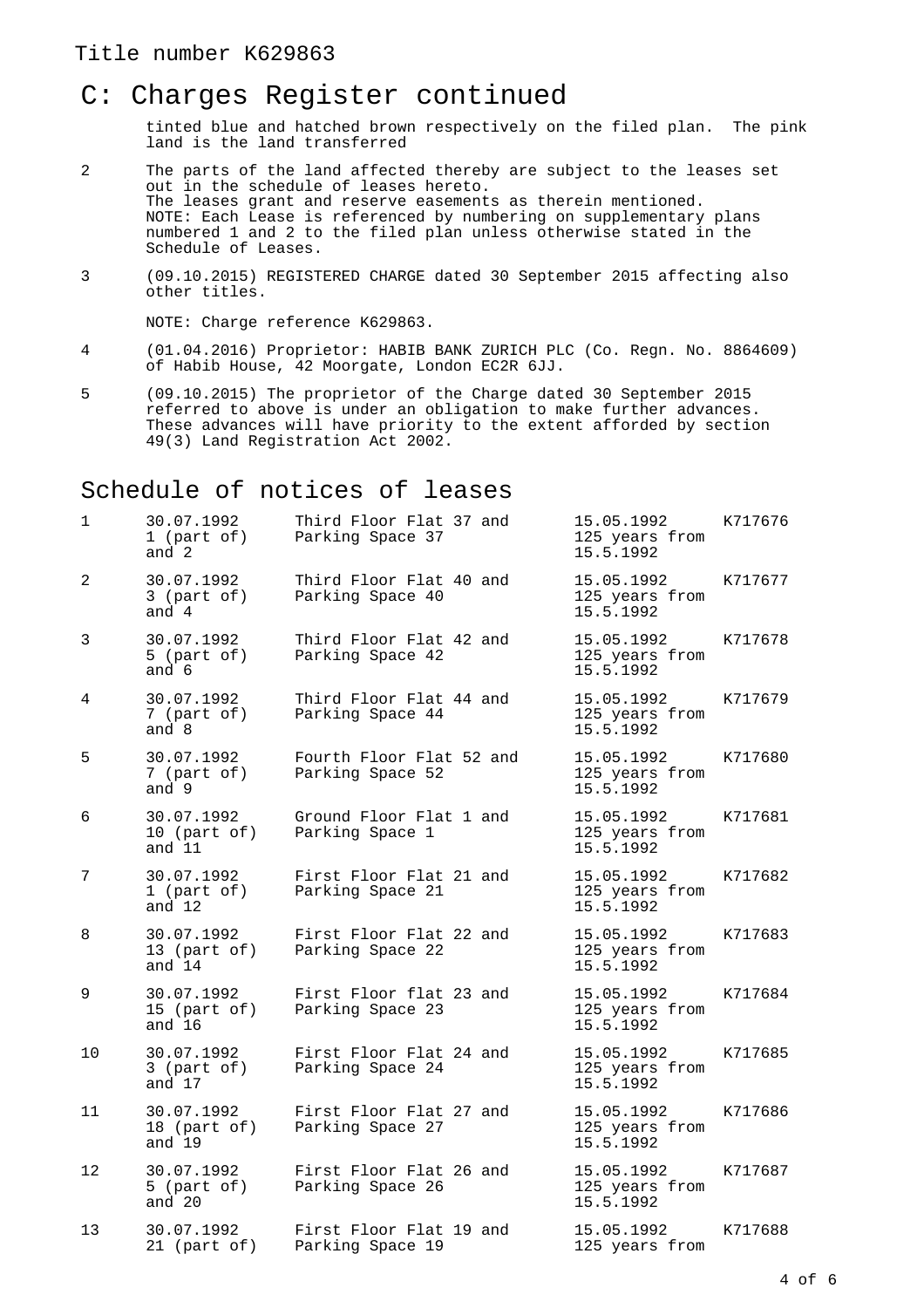## C: Charges Register continued

tinted blue and hatched brown respectively on the filed plan. The pink land is the land transferred

- 2 The parts of the land affected thereby are subject to the leases set out in the schedule of leases hereto. The leases grant and reserve easements as therein mentioned. NOTE: Each Lease is referenced by numbering on supplementary plans numbered 1 and 2 to the filed plan unless otherwise stated in the Schedule of Leases.
- 3 (09.10.2015) REGISTERED CHARGE dated 30 September 2015 affecting also other titles.

NOTE: Charge reference K629863.

- 4 (01.04.2016) Proprietor: HABIB BANK ZURICH PLC (Co. Regn. No. 8864609) of Habib House, 42 Moorgate, London EC2R 6JJ.
- 5 (09.10.2015) The proprietor of the Charge dated 30 September 2015 referred to above is under an obligation to make further advances. These advances will have priority to the extent afforded by section 49(3) Land Registration Act 2002.

#### Schedule of notices of leases

| 1  | 30.07.1992<br>1 (part of)<br>and 2     | Third Floor Flat 37 and<br>Parking Space 37  | 15.05.1992<br>125 years from<br>15.5.1992 | K717676 |
|----|----------------------------------------|----------------------------------------------|-------------------------------------------|---------|
| 2  | 30.07.1992<br>$3$ (part of)<br>and 4   | Third Floor Flat 40 and<br>Parking Space 40  | 15.05.1992<br>125 years from<br>15.5.1992 | K717677 |
| 3  | 30.07.1992<br>5 (part of)<br>and 6     | Third Floor Flat 42 and<br>Parking Space 42  | 15.05.1992<br>125 years from<br>15.5.1992 | K717678 |
| 4  | 30.07.1992<br>7 (part of)<br>and 8     | Third Floor Flat 44 and<br>Parking Space 44  | 15.05.1992<br>125 years from<br>15.5.1992 | K717679 |
| 5  | 30.07.1992<br>7 (part of)<br>and 9     | Fourth Floor Flat 52 and<br>Parking Space 52 | 15.05.1992<br>125 years from<br>15.5.1992 | K717680 |
| 6  | 30.07.1992<br>10 (part of)<br>and 11   | Ground Floor Flat 1 and<br>Parking Space 1   | 15.05.1992<br>125 years from<br>15.5.1992 | K717681 |
| 7  | 30.07.1992<br>1 (part of)<br>and $12$  | First Floor Flat 21 and<br>Parking Space 21  | 15.05.1992<br>125 years from<br>15.5.1992 | K717682 |
| 8  | 30.07.1992<br>13 (part of)<br>and 14   | First Floor Flat 22 and<br>Parking Space 22  | 15.05.1992<br>125 years from<br>15.5.1992 | K717683 |
| 9  | 30.07.1992<br>15 (part of)<br>and $16$ | First Floor flat 23 and<br>Parking Space 23  | 15.05.1992<br>125 years from<br>15.5.1992 | K717684 |
| 10 | 30.07.1992<br>$3$ (part of)<br>and 17  | First Floor Flat 24 and<br>Parking Space 24  | 15.05.1992<br>125 years from<br>15.5.1992 | K717685 |
| 11 | 30.07.1992<br>18 (part of)<br>and 19   | First Floor Flat 27 and<br>Parking Space 27  | 15.05.1992<br>125 years from<br>15.5.1992 | K717686 |
| 12 | 30.07.1992<br>5 (part of)<br>and 20    | First Floor Flat 26 and<br>Parking Space 26  | 15.05.1992<br>125 years from<br>15.5.1992 | K717687 |
| 13 | 30.07.1992<br>21 (part of)             | First Floor Flat 19 and<br>Parking Space 19  | 15.05.1992<br>125 years from              | K717688 |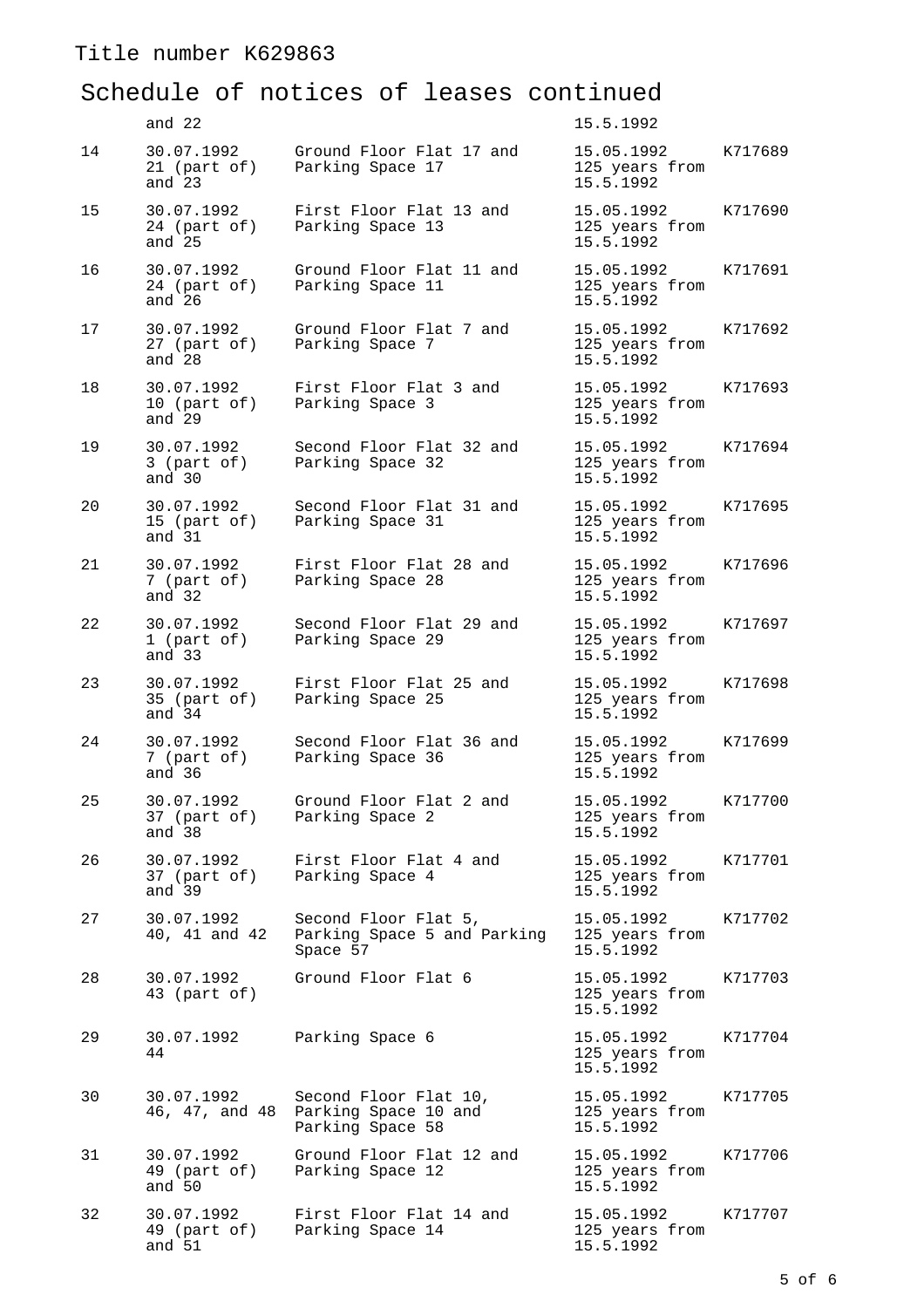## Schedule of notices of leases continued

|    | and 22                                |                                                                   | 15.5.1992                                 |         |
|----|---------------------------------------|-------------------------------------------------------------------|-------------------------------------------|---------|
| 14 | 30.07.1992<br>21 (part of)<br>and 23  | Ground Floor Flat 17 and<br>Parking Space 17                      | 15.05.1992<br>125 years from<br>15.5.1992 | K717689 |
| 15 | 30.07.1992<br>24 (part of)<br>and 25  | First Floor Flat 13 and<br>Parking Space 13                       | 15.05.1992<br>125 years from<br>15.5.1992 | K717690 |
| 16 | 30.07.1992<br>24 (part of)<br>and 26  | Ground Floor Flat 11 and<br>Parking Space 11                      | 15.05.1992<br>125 years from<br>15.5.1992 | K717691 |
| 17 | 30.07.1992<br>27 (part of)<br>and 28  | Ground Floor Flat 7 and<br>Parking Space 7                        | 15.05.1992<br>125 years from<br>15.5.1992 | K717692 |
| 18 | 30.07.1992<br>10 (part of)<br>and 29  | First Floor Flat 3 and<br>Parking Space 3                         | 15.05.1992<br>125 years from<br>15.5.1992 | K717693 |
| 19 | 30.07.1992<br>$3$ (part of)<br>and 30 | Second Floor Flat 32 and<br>Parking Space 32                      | 15.05.1992<br>125 years from<br>15.5.1992 | K717694 |
| 20 | 30.07.1992<br>15 (part of)<br>and 31  | Second Floor Flat 31 and<br>Parking Space 31                      | 15.05.1992<br>125 years from<br>15.5.1992 | K717695 |
| 21 | 30.07.1992<br>7 (part of)<br>and 32   | First Floor Flat 28 and<br>Parking Space 28                       | 15.05.1992<br>125 years from<br>15.5.1992 | K717696 |
| 22 | 30.07.1992<br>1 (part of)<br>and 33   | Second Floor Flat 29 and<br>Parking Space 29                      | 15.05.1992<br>125 years from<br>15.5.1992 | K717697 |
| 23 | 30.07.1992<br>35 (part of)<br>and 34  | First Floor Flat 25 and<br>Parking Space 25                       | 15.05.1992<br>125 years from<br>15.5.1992 | K717698 |
| 24 | 30.07.1992<br>7 (part of)<br>and 36   | Second Floor Flat 36 and<br>Parking Space 36                      | 15.05.1992<br>125 years from<br>15.5.1992 | K717699 |
| 25 | 30.07.1992<br>37 (part of)<br>and 38  | Ground Floor Flat 2 and<br>Parking Space 2                        | 15.05.1992<br>125 years from<br>15.5.1992 | K717700 |
| 26 | 30.07.1992<br>37 (part of)<br>and 39  | First Floor Flat 4 and<br>Parking Space 4                         | 15.05.1992<br>125 years from<br>15.5.1992 | K717701 |
| 27 | 30.07.1992<br>40, 41 and 42           | Second Floor Flat 5,<br>Parking Space 5 and Parking<br>Space 57   | 15.05.1992<br>125 years from<br>15.5.1992 | K717702 |
| 28 | 30.07.1992<br>43 (part of)            | Ground Floor Flat 6                                               | 15.05.1992<br>125 years from<br>15.5.1992 | K717703 |
| 29 | 30.07.1992<br>44                      | Parking Space 6                                                   | 15.05.1992<br>125 years from<br>15.5.1992 | K717704 |
| 30 | 30.07.1992<br>46, 47, and 48          | Second Floor Flat 10,<br>Parking Space 10 and<br>Parking Space 58 | 15.05.1992<br>125 years from<br>15.5.1992 | K717705 |
| 31 | 30.07.1992<br>49 (part of)<br>and 50  | Ground Floor Flat 12 and<br>Parking Space 12                      | 15.05.1992<br>125 years from<br>15.5.1992 | K717706 |
| 32 | 30.07.1992<br>49 (part of)<br>and 51  | First Floor Flat 14 and<br>Parking Space 14                       | 15.05.1992<br>125 years from<br>15.5.1992 | K717707 |